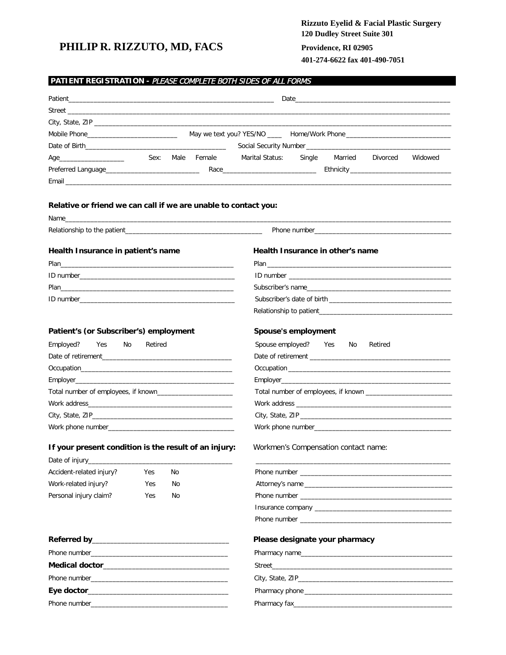# PHILIP R. RIZZUTO, MD, FACS

# Rizzuto Eyelid & Facial Plastic Surgery 120 Dudley Street Suite 301 Providence, RI 02905

401-274-6622 fax 401-490-7051

|                                                                                                               |         |    |                  | Date and the contract of the contract of the contract of the contract of the contract of the contract of the contract of the contract of the contract of the contract of the contract of the contract of the contract of the c |
|---------------------------------------------------------------------------------------------------------------|---------|----|------------------|--------------------------------------------------------------------------------------------------------------------------------------------------------------------------------------------------------------------------------|
|                                                                                                               |         |    |                  |                                                                                                                                                                                                                                |
|                                                                                                               |         |    |                  |                                                                                                                                                                                                                                |
|                                                                                                               |         |    |                  |                                                                                                                                                                                                                                |
|                                                                                                               |         |    |                  |                                                                                                                                                                                                                                |
|                                                                                                               |         |    | Sex: Male Female | Marital Status: Single Married<br>Divorced<br>Widowed                                                                                                                                                                          |
|                                                                                                               |         |    |                  |                                                                                                                                                                                                                                |
|                                                                                                               |         |    |                  |                                                                                                                                                                                                                                |
| Relative or friend we can call if we are unable to contact you:                                               |         |    |                  |                                                                                                                                                                                                                                |
|                                                                                                               |         |    |                  |                                                                                                                                                                                                                                |
|                                                                                                               |         |    |                  |                                                                                                                                                                                                                                |
| Health Insurance in patient's name                                                                            |         |    |                  | Health Insurance in other's name                                                                                                                                                                                               |
| Plan 2008 - 2008 - 2019 - 2019 - 2019 - 2019 - 2019 - 2019 - 2019 - 2019 - 2019 - 2019 - 2019 - 2019 - 2019 - |         |    |                  |                                                                                                                                                                                                                                |
|                                                                                                               |         |    |                  |                                                                                                                                                                                                                                |
|                                                                                                               |         |    |                  |                                                                                                                                                                                                                                |
|                                                                                                               |         |    |                  |                                                                                                                                                                                                                                |
|                                                                                                               |         |    |                  |                                                                                                                                                                                                                                |
| Patient's (or Subscriber's) employment                                                                        |         |    |                  | Spouse's employment                                                                                                                                                                                                            |
| Yes<br>No<br>Employed?                                                                                        | Retired |    |                  | Spouse employed? Yes<br>No<br>Retired                                                                                                                                                                                          |
|                                                                                                               |         |    |                  |                                                                                                                                                                                                                                |
|                                                                                                               |         |    |                  |                                                                                                                                                                                                                                |
|                                                                                                               |         |    |                  |                                                                                                                                                                                                                                |
|                                                                                                               |         |    |                  |                                                                                                                                                                                                                                |
|                                                                                                               |         |    |                  |                                                                                                                                                                                                                                |
|                                                                                                               |         |    |                  |                                                                                                                                                                                                                                |
|                                                                                                               |         |    |                  |                                                                                                                                                                                                                                |
| If your present condition is the result of an injury:                                                         |         |    |                  | Workmen's Compensation contact name:                                                                                                                                                                                           |
| Accident-related injury?                                                                                      | Yes     | No |                  |                                                                                                                                                                                                                                |
|                                                                                                               | Yes     | No |                  |                                                                                                                                                                                                                                |
|                                                                                                               |         |    |                  |                                                                                                                                                                                                                                |
|                                                                                                               |         |    |                  |                                                                                                                                                                                                                                |
|                                                                                                               | Yes     | No |                  |                                                                                                                                                                                                                                |
|                                                                                                               |         |    |                  |                                                                                                                                                                                                                                |
|                                                                                                               |         |    |                  | Please designate your pharmacy                                                                                                                                                                                                 |
|                                                                                                               |         |    |                  |                                                                                                                                                                                                                                |
|                                                                                                               |         |    |                  |                                                                                                                                                                                                                                |
|                                                                                                               |         |    |                  |                                                                                                                                                                                                                                |
| Work-related injury?<br>Personal injury claim?                                                                |         |    |                  | Pharmacy name                                                                                                                                                                                                                  |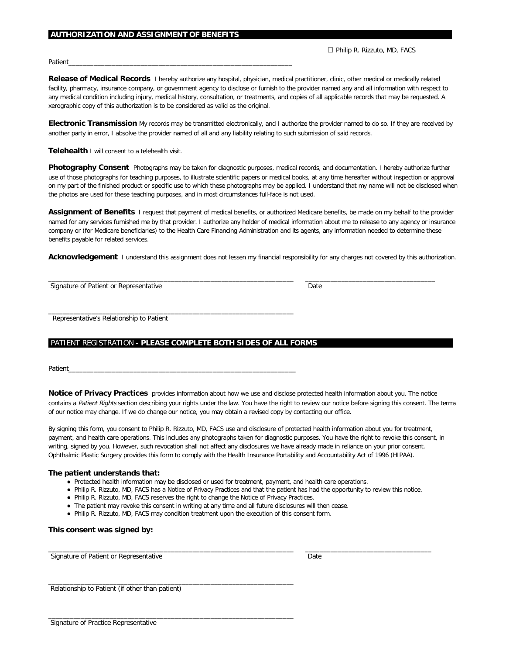#### .**AUTHORIZATION AND ASSIGNMENT OF BENEFITS………**…………………………………………………………………………………………….

 $\Box$  Philip R. Rizzuto, MD, FACS

Patient\_\_\_\_\_\_\_\_\_\_\_\_\_\_\_\_\_\_\_\_\_\_\_\_\_\_\_\_\_\_\_\_\_\_\_\_\_\_\_\_\_\_\_\_\_\_\_\_\_\_\_\_\_\_\_\_\_\_\_\_\_\_

**Release of Medical Records** I hereby authorize any hospital, physician, medical practitioner, clinic, other medical or medically related facility, pharmacy, insurance company, or government agency to disclose or furnish to the provider named any and all information with respect to any medical condition including injury, medical history, consultation, or treatments, and copies of all applicable records that may be requested. A xerographic copy of this authorization is to be considered as valid as the original.

**Electronic Transmission** My records may be transmitted electronically, and I authorize the provider named to do so. If they are received by another party in error, I absolve the provider named of all and any liability relating to such submission of said records.

**Telehealth** I will consent to a telehealth visit.

**Photography Consent** Photographs may be taken for diagnostic purposes, medical records, and documentation. I hereby authorize further use of those photographs for teaching purposes, to illustrate scientific papers or medical books, at any time hereafter without inspection or approval on my part of the finished product or specific use to which these photographs may be applied. I understand that my name will not be disclosed when the photos are used for these teaching purposes, and in most circumstances full-face is not used.

**Assignment of Benefits** I request that payment of medical benefits, or authorized Medicare benefits, be made on my behalf to the provider named for any services furnished me by that provider. I authorize any holder of medical information about me to release to any agency or insurance company or (for Medicare beneficiaries) to the Health Care Financing Administration and its agents, any information needed to determine these benefits payable for related services.

**Acknowledgement** I understand this assignment does not lessen my financial responsibility for any charges not covered by this authorization.

\_\_\_\_\_\_\_\_\_\_\_\_\_\_\_\_\_\_\_\_\_\_\_\_\_\_\_\_\_\_\_\_\_\_\_\_\_\_\_\_\_\_\_\_\_\_\_\_\_\_\_\_\_\_\_\_\_\_\_\_\_\_\_\_\_\_\_\_ \_\_\_\_\_\_\_\_\_\_\_\_\_\_\_\_\_\_\_\_\_\_\_\_\_\_\_\_\_\_\_\_\_\_\_\_

Signature of Patient or Representative Date Date Date

\_\_\_\_\_\_\_\_\_\_\_\_\_\_\_\_\_\_\_\_\_\_\_\_\_\_\_\_\_\_\_\_\_\_\_\_\_\_\_\_\_\_\_\_\_\_\_\_\_\_\_\_\_\_\_\_\_\_\_\_\_\_\_\_\_\_\_\_ Representative's Relationship to Patient

#### PATIENT REGISTRATION - PLEASE COMPLETE BOTH SIDES OF ALL FORMS

Patient\_\_\_\_\_\_\_\_\_\_\_\_\_\_\_\_\_\_\_\_\_\_\_\_\_\_\_\_\_\_\_\_\_\_\_\_\_\_\_\_\_\_\_\_\_\_\_\_\_\_\_\_\_\_\_\_\_\_\_\_\_\_\_

**Notice of Privacy Practices** provides information about how we use and disclose protected health information about you. The notice contains a Patient Rights section describing your rights under the law. You have the right to review our notice before signing this consent. The terms of our notice may change. If we do change our notice, you may obtain a revised copy by contacting our office.

By signing this form, you consent to Philip R. Rizzuto, MD, FACS use and disclosure of protected health information about you for treatment, payment, and health care operations. This includes any photographs taken for diagnostic purposes. You have the right to revoke this consent, in writing, signed by you. However, such revocation shall not affect any disclosures we have already made in reliance on your prior consent. Ophthalmic Plastic Surgery provides this form to comply with the Health Insurance Portability and Accountability Act of 1996 (HIPAA).

#### **The patient understands that:**

- Protected health information may be disclosed or used for treatment, payment, and health care operations.
- Philip R. Rizzuto, MD, FACS has a Notice of Privacy Practices and that the patient has had the opportunity to review this notice.
- Philip R. Rizzuto, MD, FACS reserves the right to change the Notice of Privacy Practices.

\_\_\_\_\_\_\_\_\_\_\_\_\_\_\_\_\_\_\_\_\_\_\_\_\_\_\_\_\_\_\_\_\_\_\_\_\_\_\_\_\_\_\_\_\_\_\_\_\_\_\_\_\_\_\_\_\_\_\_\_\_\_\_\_\_\_\_\_

\_\_\_\_\_\_\_\_\_\_\_\_\_\_\_\_\_\_\_\_\_\_\_\_\_\_\_\_\_\_\_\_\_\_\_\_\_\_\_\_\_\_\_\_\_\_\_\_\_\_\_\_\_\_\_\_\_\_\_\_\_\_\_\_\_\_\_\_

- The patient may revoke this consent in writing at any time and all future disclosures will then cease.
- Philip R. Rizzuto, MD, FACS may condition treatment upon the execution of this consent form.

**This consent was signed by:**

\_\_\_\_\_\_\_\_\_\_\_\_\_\_\_\_\_\_\_\_\_\_\_\_\_\_\_\_\_\_\_\_\_\_\_\_\_\_\_\_\_\_\_\_\_\_\_\_\_\_\_\_\_\_\_\_\_\_\_\_\_\_\_\_\_\_\_\_ \_\_\_\_\_\_\_\_\_\_\_\_\_\_\_\_\_\_\_\_\_\_\_\_\_\_\_\_\_\_\_\_\_\_\_ Signature of Patient or Representative Date Date Date Date

Relationship to Patient (if other than patient)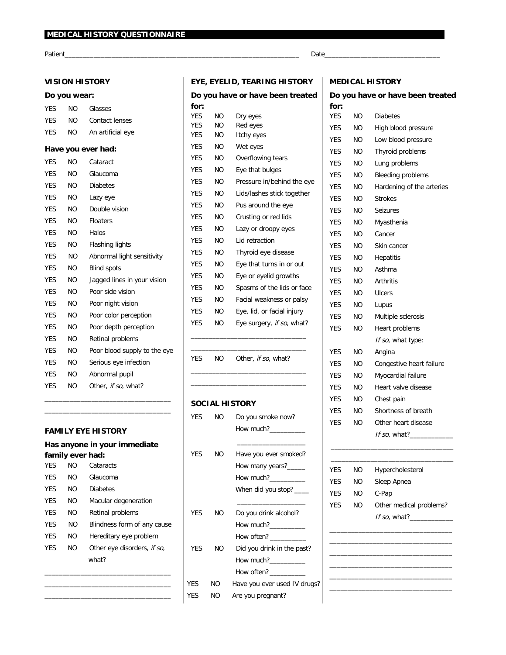Patient\_

## **VISION HISTORY**

## Do you wear:

| <b>YES</b> | NΟ        | <b>Glasses</b>               |
|------------|-----------|------------------------------|
| <b>YES</b> | NO.       | <b>Contact lenses</b>        |
| <b>YES</b> | NO.       | An artificial eye            |
|            |           | Have you ever had:           |
| <b>YES</b> | NΟ        | Cataract                     |
| <b>YES</b> | NO.       | Glaucoma                     |
| <b>YES</b> | NO.       | <b>Diabetes</b>              |
| <b>YES</b> | NO.       | Lazy eye                     |
| <b>YES</b> | NO.       | Double vision                |
| <b>YES</b> | <b>NO</b> | <b>Floaters</b>              |
| <b>YES</b> | NO.       | Halos                        |
| <b>YES</b> | <b>NO</b> | <b>Flashing lights</b>       |
| <b>YES</b> | NO.       | Abnormal light sensitivity   |
| <b>YES</b> | NO.       | <b>Blind spots</b>           |
| <b>YES</b> | <b>NO</b> | Jagged lines in your vision  |
| <b>YES</b> | NO.       | Poor side vision             |
| <b>YES</b> | <b>NO</b> | Poor night vision            |
| <b>YES</b> | NO.       | Poor color perception        |
| <b>YES</b> | NO.       | Poor depth perception        |
| <b>YES</b> | NO.       | Retinal problems             |
| <b>YES</b> | NO.       | Poor blood supply to the eye |
| <b>YES</b> | NO.       | Serious eye infection        |
| <b>YES</b> | NO.       | Abnormal pupil               |
| <b>YES</b> | NO.       | Other, if so, what?          |

#### **FAMILY EYE HISTORY**

|            |                  | Has anyone in your immediate |
|------------|------------------|------------------------------|
|            | family ever had: |                              |
| <b>YFS</b> | חח               | Cataracts                    |
| <b>YFS</b> | NΟ               | Glaucoma                     |
| <b>YFS</b> | NΟ               | <b>Diabetes</b>              |
| <b>YFS</b> | NΟ               | Macular degeneration         |
| <b>YFS</b> | NΩ               | Retinal problems             |
| <b>YFS</b> | NΟ               | Blindness form of any cause  |
| <b>YFS</b> | NΟ               | Hereditary eye problem       |
| YFS        | NΟ               | Other eye disorders, if so,  |
|            |                  | what?                        |
|            |                  |                              |

# EYE, EYELID, TEARING HISTORY

|            |     | Do you have or have been treated |
|------------|-----|----------------------------------|
| for:       |     |                                  |
| <b>YES</b> | NΟ  | Dry eyes                         |
| <b>YES</b> | NΟ  | Red eyes                         |
| <b>YES</b> | NO. | <b>Itchy eyes</b>                |
| YES        | NΟ  | Wet eyes                         |
| <b>YES</b> | NΟ  | Overflowing tears                |
| <b>YES</b> | NΟ  | Eye that bulges                  |
| YES        | NΟ  | Pressure in/behind the eye       |
| <b>YES</b> | NO. | Lids/lashes stick together       |
| <b>YES</b> | NΟ  | Pus around the eye               |
| <b>YES</b> | NΟ  | Crusting or red lids             |
| <b>YES</b> | NΟ  | Lazy or droopy eyes              |
| <b>YES</b> | NΟ  | Lid retraction                   |
| <b>YES</b> | NΟ  | Thyroid eye disease              |
| YES        | NΟ  | Eye that turns in or out         |
| <b>YES</b> | NΟ  | Eye or eyelid growths            |
| YES        | NΟ  | Spasms of the lids or face       |
| YES        | NΟ  | Facial weakness or palsy         |
| <b>YES</b> | NΟ  | Eye, lid, or facial injury       |
| <b>YES</b> | NΟ  | Eye surgery, if so, what?        |
|            |     |                                  |

YES NO Other, if so, what?

#### **SOCIAL HISTORY**

| <b>YFS</b> | NO             | Do you smoke now?                                                                                                                                                                                                                                                                                               |
|------------|----------------|-----------------------------------------------------------------------------------------------------------------------------------------------------------------------------------------------------------------------------------------------------------------------------------------------------------------|
|            |                | How much?                                                                                                                                                                                                                                                                                                       |
|            |                |                                                                                                                                                                                                                                                                                                                 |
| YFS.       | NO.            | Have you ever smoked?                                                                                                                                                                                                                                                                                           |
|            |                | How many years?                                                                                                                                                                                                                                                                                                 |
|            |                | How much? $\frac{1}{2}$ $\frac{1}{2}$ $\frac{1}{2}$ $\frac{1}{2}$ $\frac{1}{2}$ $\frac{1}{2}$ $\frac{1}{2}$ $\frac{1}{2}$ $\frac{1}{2}$ $\frac{1}{2}$ $\frac{1}{2}$ $\frac{1}{2}$ $\frac{1}{2}$ $\frac{1}{2}$ $\frac{1}{2}$ $\frac{1}{2}$ $\frac{1}{2}$ $\frac{1}{2}$ $\frac{1}{2}$ $\frac{1}{2}$ $\frac{1}{2}$ |
|            |                | When did you stop? ____                                                                                                                                                                                                                                                                                         |
|            |                |                                                                                                                                                                                                                                                                                                                 |
| <b>YFS</b> | N <sub>O</sub> | Do you drink alcohol?                                                                                                                                                                                                                                                                                           |
|            |                | How much?                                                                                                                                                                                                                                                                                                       |
|            |                | How often? ___________                                                                                                                                                                                                                                                                                          |
| <b>YFS</b> | N <sub>O</sub> | Did you drink in the past?                                                                                                                                                                                                                                                                                      |
|            |                | How much?                                                                                                                                                                                                                                                                                                       |
|            |                | How often? __________                                                                                                                                                                                                                                                                                           |
| <b>YES</b> | NO.            | Have you ever used IV drugs?                                                                                                                                                                                                                                                                                    |
| <b>YFS</b> | NΟ             | Are you pregnant?                                                                                                                                                                                                                                                                                               |

# **MEDICAL HISTORY**

# Do you have or have been treated

| for: |           |                           |
|------|-----------|---------------------------|
| YES  | NΟ        | <b>Diabetes</b>           |
| YES  | NΟ        | High blood pressure       |
| YES  | NΟ        | Low blood pressure        |
| YES  | NΟ        | <b>Thyroid problems</b>   |
| YES  | NΟ        | Lung problems             |
| YES  | NΟ        | <b>Bleeding problems</b>  |
| YES  | NΟ        | Hardening of the arteries |
| YES  | <b>NO</b> | <b>Strokes</b>            |
| YES  | NΟ        | <b>Seizures</b>           |
| YES  | ΝO        | Myasthenia                |
| YES  | NΟ        | Cancer                    |
| YES  | NΟ        | Skin cancer               |
| YES  | <b>NO</b> | <b>Hepatitis</b>          |
| YES  | NΟ        | Asthma                    |
| YES  | NΟ        | <b>Arthritis</b>          |
| YES  | ΝO        | Ulcers                    |
| YES  | NΟ        | Lupus                     |
| YES  | NΟ        | Multiple sclerosis        |
| YES  | NΟ        | Heart problems            |
|      |           | If so, what type:         |
| YES  | NΟ        | Angina                    |
| YES  | NΟ        | Congestive heart failure  |
| YES  | ΝO        | Myocardial failure        |
| YES  | ΝO        | Heart valve disease       |
| YES  | NΟ        | Chest pain                |
| YES  | NΟ        | Shortness of breath       |
| YES  | NΟ        | Other heart disease       |
|      |           | If so, what?              |
|      |           |                           |
|      |           |                           |
| YES  | NO.       | Hypercholesterol          |
| YES  | ΝO        | Sleep Apnea               |
| YES  | ΝO        | C-Pap                     |
| YES  | ΝO        | Other medical problems?   |
|      |           | If so, what?              |
|      |           |                           |
|      |           |                           |
|      |           |                           |
|      |           |                           |
|      |           |                           |

#### Date\_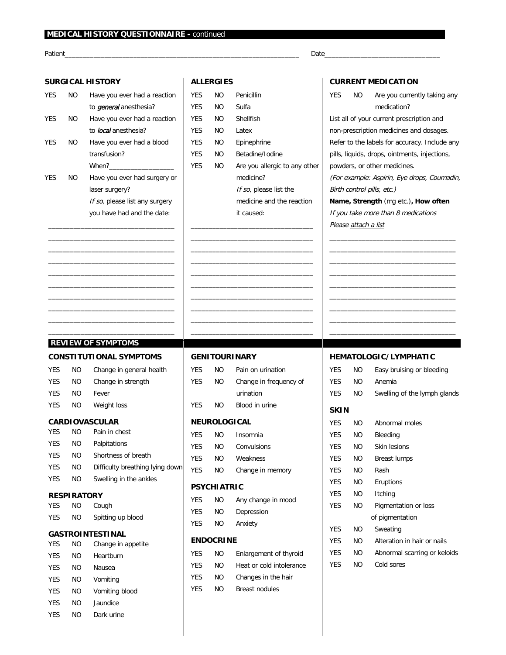#### MEDICAL HISTORY QUESTIONNAIRE - continued

Patient

### **SURGICAL HISTORY**

#### **YES NO** Have you ever had a reaction to *general* anesthesia? **YES NO** Have you ever had a reaction to local anesthesia? **YES NO** Have you ever had a blood transfusion? When?\_ **YES NO** Have you ever had surgery or laser surgery? If so, please list any surgery you have had and the date:

# **ALLERGIES**

| <b>YFS</b> | NΟ | Penicillin                    |
|------------|----|-------------------------------|
| <b>YFS</b> | NΟ | Sulfa                         |
| <b>YES</b> | NΟ | Shellfish                     |
| <b>YFS</b> | NΟ | I atex                        |
| <b>YFS</b> | NΟ | Epinephrine                   |
| <b>YFS</b> | NΟ | <b>Betadine/Indine</b>        |
| <b>YFS</b> | NΟ | Are you allergic to any other |
|            |    | medicine?                     |
|            |    | If so, please list the        |
|            |    | medicine and the reaction     |
|            |    | it caused:                    |
|            |    |                               |

## **CURRENT MEDICATION**

Date

| YES.                       | <b>NO</b>            | Are you currently taking any                  |  |  |
|----------------------------|----------------------|-----------------------------------------------|--|--|
|                            |                      |                                               |  |  |
|                            |                      | medication?                                   |  |  |
|                            |                      | List all of your current prescription and     |  |  |
|                            |                      | non-prescription medicines and dosages.       |  |  |
|                            |                      | Refer to the labels for accuracy. Include any |  |  |
|                            |                      | pills, liquids, drops, ointments, injections, |  |  |
|                            |                      | powders, or other medicines.                  |  |  |
|                            |                      | (For example: Aspirin, Eye drops, Coumadin    |  |  |
| Birth control pills, etc.) |                      |                                               |  |  |
|                            |                      | Name, Strength (mg etc.), How often           |  |  |
|                            |                      | If you take more than 8 medications           |  |  |
|                            | Please attach a list |                                               |  |  |

# **REVIEW OF SYMPTOMS**

# **CONSTITUTIONAL SYMPTOMS**

| <b>YES</b> | NΟ | Change in general health |
|------------|----|--------------------------|
| <b>YES</b> | NΟ | Change in strength       |
| <b>YES</b> | NO | Fever                    |
| <b>YES</b> | NO | Weight loss              |
|            |    |                          |

# CARDIOVASCULAR

| <b>YES</b> | NΟ  | Pain in chest                   |
|------------|-----|---------------------------------|
| <b>YES</b> | ΝO  | Palpitations                    |
| <b>YES</b> | NΟ  | Shortness of breath             |
| <b>YES</b> | NO. | Difficulty breathing lying down |
| <b>YES</b> | NΟ  | Swelling in the ankles          |

#### **RESPIRATORY**

| YES | NΟ | Cough             |
|-----|----|-------------------|
| YES | NO | Spitting up blood |

#### **GASTROINTESTINAL**

| <b>YES</b> | NO | Change in appetite |
|------------|----|--------------------|
| YES        | NΟ | Heartburn          |
| <b>YES</b> | NΟ | Nausea             |
| <b>YES</b> | NΟ | Vomiting           |
| <b>YES</b> | NΟ | Vomiting blood     |
| <b>YES</b> | NΟ | Jaundice           |
| YES        | NO | Dark urine         |

#### **GENITOURINARY**

| <b>YES</b>          | NΟ   | Pain on urination      |
|---------------------|------|------------------------|
| <b>YES</b>          | NO   | Change in frequency of |
|                     |      | urination              |
| <b>YES</b>          | NO.  | Blood in urine         |
| <b>NEUROLOGICAL</b> |      |                        |
| <b>YES</b>          | NO.  | Insomnia               |
| <b>YES</b>          | NO - | Convulsions            |
| <b>YES</b>          | NO.  | Weakness               |
| <b>YES</b>          | NO   | Change in memory       |
| <b>PSYCHIATRIC</b>  |      |                        |
| <b>YES</b>          | NΟ   | Any change in mood     |
| <b>YES</b>          | ΝO   | Depression             |
|                     |      |                        |

| <b>YES</b> | NΟ | Depression |
|------------|----|------------|
| <b>YES</b> | NΟ | Anxiety    |

## **ENDOCRINE**

| <b>YFS</b> | NO | Enlargement of thyroid   |
|------------|----|--------------------------|
| <b>YES</b> | NΟ | Heat or cold intolerance |
| <b>YES</b> | NO | Changes in the hair      |
| <b>YFS</b> | NΟ | <b>Breast nodules</b>    |

# HEMATOLOGIC/LYMPHATIC

| <b>YFS</b>  | NΟ | Easy bruising or bleeding    |
|-------------|----|------------------------------|
| <b>YES</b>  | NΟ | Anemia                       |
| <b>YES</b>  | NΟ | Swelling of the lymph glands |
| <b>SKIN</b> |    |                              |
| <b>YES</b>  | NΟ | <b>Abnormal moles</b>        |
| <b>YES</b>  | NΟ | Bleeding                     |
| <b>YFS</b>  | NΟ | <b>Skin lesions</b>          |
| <b>YFS</b>  | NΟ | <b>Breast lumps</b>          |
| <b>YES</b>  | NΟ | Rash                         |
| <b>YES</b>  | NΟ | <b>Eruptions</b>             |
| <b>YES</b>  | NΟ | Itching                      |
| <b>YFS</b>  | NΟ | Pigmentation or loss         |
|             |    | of pigmentation              |
| <b>YFS</b>  | NΟ | Sweating                     |
| <b>YFS</b>  | NΟ | Alteration in hair or nails  |
| <b>YES</b>  | NΟ | Abnormal scarring or keloids |
| <b>YES</b>  | NO | Cold sores                   |
|             |    |                              |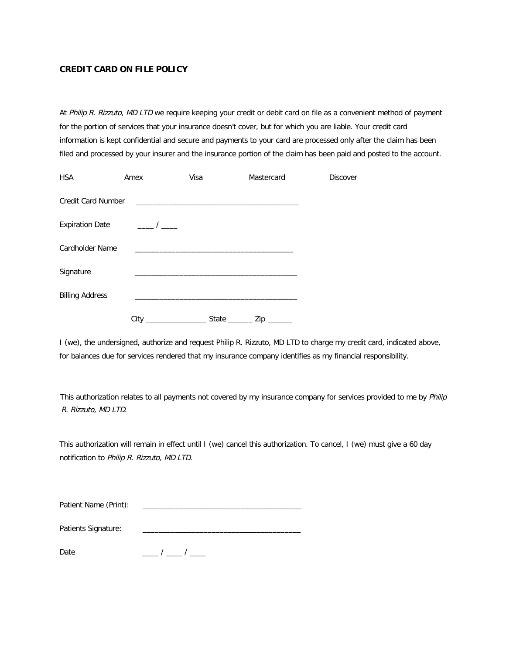### **CREDIT CARD ON FILE POLICY**

At Philip R. Rizzuto, MD LTD we require keeping your credit or debit card on file as a convenient method of payment for the portion of services that your insurance doesn't cover, but for which you are liable. Your credit card information is kept confidential and secure and payments to your card are processed only after the claim has been filed and processed by your insurer and the insurance portion of the claim has been paid and posted to the account.

| <b>HSA</b>                | Amex           | Visa | Mastercard                  | <b>Discover</b> |
|---------------------------|----------------|------|-----------------------------|-----------------|
| <b>Credit Card Number</b> |                |      |                             |                 |
| <b>Expiration Date</b>    | $\overline{1}$ |      |                             |                 |
| <b>Cardholder Name</b>    |                |      |                             |                 |
| Signature                 |                |      |                             |                 |
| <b>Billing Address</b>    |                |      |                             |                 |
|                           | City           |      | State _________ Zip _______ |                 |

I (we), the undersigned, authorize and request Philip R. Rizzuto, MD LTD to charge my credit card, indicated above, for balances due for services rendered that my insurance company identifies as my financial responsibility.

This authorization relates to all payments not covered by my insurance company for services provided to me by Philip R. Rizzuto, MD LTD.

This authorization will remain in effect until I (we) cancel this authorization. To cancel, I (we) must give a 60 day notification to Philip R. Rizzuto, MD LTD.

| Patient Name (Print): |  |
|-----------------------|--|
|-----------------------|--|

| Patients Signature: |  |
|---------------------|--|
|                     |  |
|                     |  |

 $\frac{\frac{1}{2}}{2}$ Date